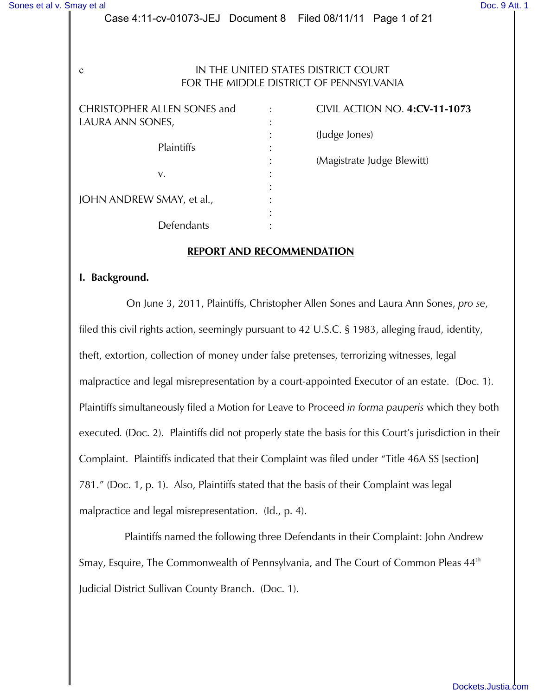#### Case 4:11-cv-01073-JEJ Document 8 Filed 08/11/11 Page 1 of 21

### c IN THE UNITED STATES DISTRICT COURT FOR THE MIDDLE DISTRICT OF PENNSYLVANIA

| <b>CHRISTOPHER ALLEN SONES and</b><br>LAURA ANN SONES, |  |
|--------------------------------------------------------|--|
| Plaintiffs                                             |  |
| V.                                                     |  |
| JOHN ANDREW SMAY, et al.,                              |  |
| Defendants                                             |  |

CHRISTOPHER ALLEN SONES and : CIVIL ACTION NO. **4:CV-11-1073** : (Judge Jones) : (Magistrate Judge Blewitt)

#### **REPORT AND RECOMMENDATION**

#### **I. Background.**

On June 3, 2011, Plaintiffs, Christopher Allen Sones and Laura Ann Sones, *pro se*, filed this civil rights action, seemingly pursuant to 42 U.S.C. § 1983, alleging fraud, identity, theft, extortion, collection of money under false pretenses, terrorizing witnesses, legal malpractice and legal misrepresentation by a court-appointed Executor of an estate. (Doc. 1). Plaintiffs simultaneously filed a Motion for Leave to Proceed *in forma pauperis* which they both executed*.* (Doc. 2). Plaintiffs did not properly state the basis for this Court's jurisdiction in their Complaint. Plaintiffs indicated that their Complaint was filed under "Title 46A SS [section] 781." (Doc. 1, p. 1). Also, Plaintiffs stated that the basis of their Complaint was legal malpractice and legal misrepresentation. (Id., p. 4).

 Plaintiffs named the following three Defendants in their Complaint: John Andrew Smay, Esquire, The Commonwealth of Pennsylvania, and The Court of Common Pleas 44<sup>th</sup> Judicial District Sullivan County Branch. (Doc. 1).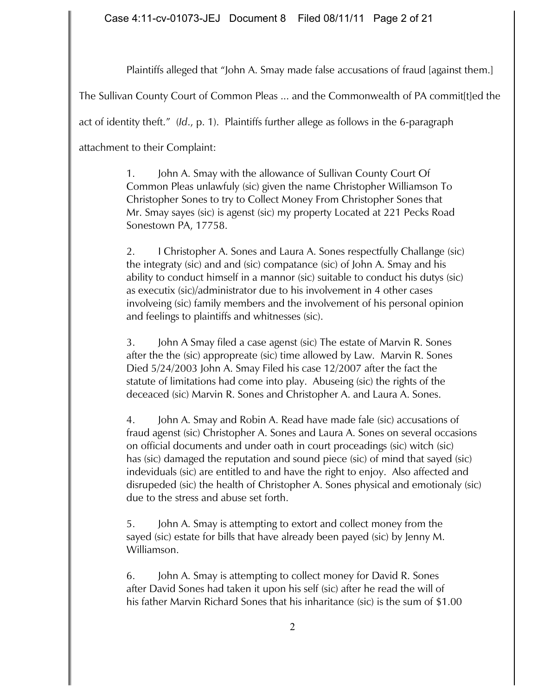Plaintiffs alleged that "John A. Smay made false accusations of fraud [against them.]

The Sullivan County Court of Common Pleas ... and the Commonwealth of PA commit[t]ed the

act of identity theft." (*Id*., p. 1). Plaintiffs further allege as follows in the 6-paragraph

attachment to their Complaint:

1. John A. Smay with the allowance of Sullivan County Court Of Common Pleas unlawfuly (sic) given the name Christopher Williamson To Christopher Sones to try to Collect Money From Christopher Sones that Mr. Smay sayes (sic) is agenst (sic) my property Located at 221 Pecks Road Sonestown PA, 17758.

2. I Christopher A. Sones and Laura A. Sones respectfully Challange (sic) the integraty (sic) and and (sic) compatance (sic) of John A. Smay and his ability to conduct himself in a mannor (sic) suitable to conduct his dutys (sic) as executix (sic)/administrator due to his involvement in 4 other cases involveing (sic) family members and the involvement of his personal opinion and feelings to plaintiffs and whitnesses (sic).

3. John A Smay filed a case agenst (sic) The estate of Marvin R. Sones after the the (sic) appropreate (sic) time allowed by Law. Marvin R. Sones Died 5/24/2003 John A. Smay Filed his case 12/2007 after the fact the statute of limitations had come into play. Abuseing (sic) the rights of the deceaced (sic) Marvin R. Sones and Christopher A. and Laura A. Sones.

4. John A. Smay and Robin A. Read have made fale (sic) accusations of fraud agenst (sic) Christopher A. Sones and Laura A. Sones on several occasions on official documents and under oath in court proceadings (sic) witch (sic) has (sic) damaged the reputation and sound piece (sic) of mind that sayed (sic) indeviduals (sic) are entitled to and have the right to enjoy. Also affected and disrupeded (sic) the health of Christopher A. Sones physical and emotionaly (sic) due to the stress and abuse set forth.

5. John A. Smay is attempting to extort and collect money from the sayed (sic) estate for bills that have already been payed (sic) by Jenny M. Williamson.

6. John A. Smay is attempting to collect money for David R. Sones after David Sones had taken it upon his self (sic) after he read the will of his father Marvin Richard Sones that his inharitance (sic) is the sum of \$1.00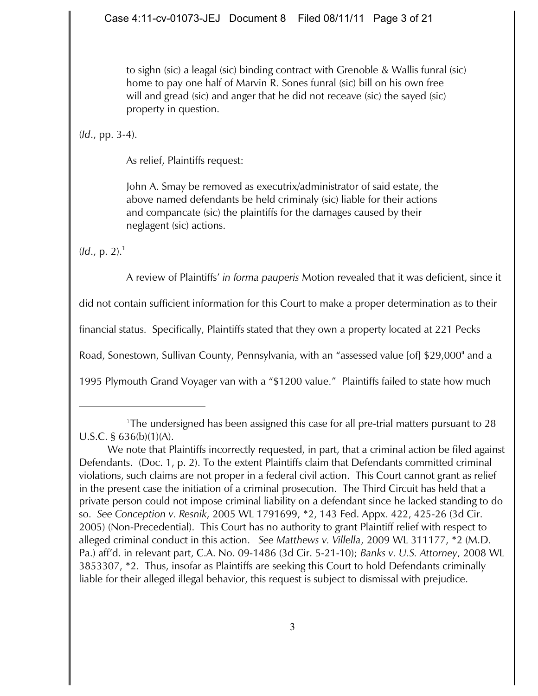to sighn (sic) a leagal (sic) binding contract with Grenoble & Wallis funral (sic) home to pay one half of Marvin R. Sones funral (sic) bill on his own free will and gread (sic) and anger that he did not receave (sic) the sayed (sic) property in question.

(*Id*., pp. 3-4).

As relief, Plaintiffs request:

John A. Smay be removed as executrix/administrator of said estate, the above named defendants be held criminaly (sic) liable for their actions and compancate (sic) the plaintiffs for the damages caused by their neglagent (sic) actions.

 $$ 

A review of Plaintiffs' *in forma pauperis* Motion revealed that it was deficient, since it

did not contain sufficient information for this Court to make a proper determination as to their

financial status. Specifically, Plaintiffs stated that they own a property located at 221 Pecks

Road, Sonestown, Sullivan County, Pennsylvania, with an "assessed value [of] \$29,000" and a

1995 Plymouth Grand Voyager van with a "\$1200 value." Plaintiffs failed to state how much

<sup>&</sup>lt;sup>1</sup>The undersigned has been assigned this case for all pre-trial matters pursuant to 28 U.S.C. § 636(b)(1)(A).

We note that Plaintiffs incorrectly requested, in part, that a criminal action be filed against Defendants. (Doc. 1, p. 2). To the extent Plaintiffs claim that Defendants committed criminal violations, such claims are not proper in a federal civil action. This Court cannot grant as relief in the present case the initiation of a criminal prosecution. The Third Circuit has held that a private person could not impose criminal liability on a defendant since he lacked standing to do so. *See Conception v. Resnik*, 2005 WL 1791699, \*2, 143 Fed. Appx. 422, 425-26 (3d Cir. 2005) (Non-Precedential). This Court has no authority to grant Plaintiff relief with respect to alleged criminal conduct in this action. *See Matthews v. Villella*, 2009 WL 311177, \*2 (M.D. Pa.) aff'd. in relevant part, C.A. No. 09-1486 (3d Cir. 5-21-10); *Banks v. U.S. Attorney*, 2008 WL 3853307, \*2. Thus, insofar as Plaintiffs are seeking this Court to hold Defendants criminally liable for their alleged illegal behavior, this request is subject to dismissal with prejudice.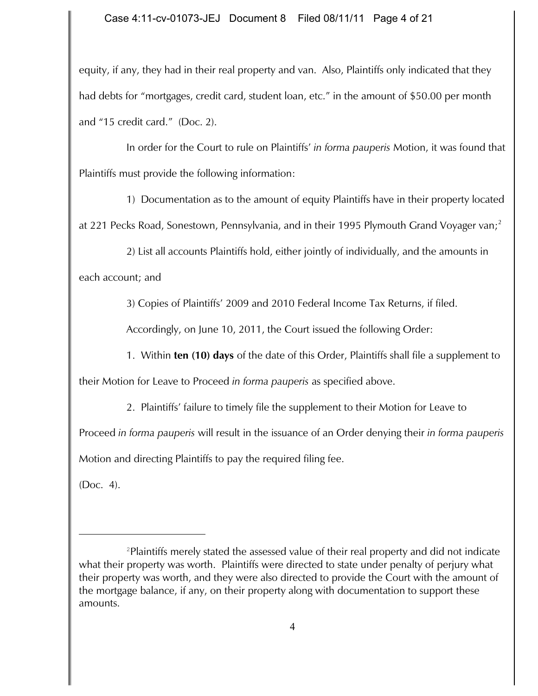equity, if any, they had in their real property and van. Also, Plaintiffs only indicated that they had debts for "mortgages, credit card, student loan, etc." in the amount of \$50.00 per month and "15 credit card." (Doc. 2).

In order for the Court to rule on Plaintiffs' *in forma pauperis* Motion, it was found that Plaintiffs must provide the following information:

1) Documentation as to the amount of equity Plaintiffs have in their property located

at 221 Pecks Road, Sonestown, Pennsylvania, and in their 1995 Plymouth Grand Voyager van;<sup>2</sup>

2) List all accounts Plaintiffs hold, either jointly of individually, and the amounts in each account; and

3) Copies of Plaintiffs' 2009 and 2010 Federal Income Tax Returns, if filed.

Accordingly, on June 10, 2011, the Court issued the following Order:

1. Within **ten (10) days** of the date of this Order, Plaintiffs shall file a supplement to

their Motion for Leave to Proceed *in forma pauperis* as specified above.

2. Plaintiffs' failure to timely file the supplement to their Motion for Leave to

Proceed *in forma pauperis* will result in the issuance of an Order denying their *in forma pauperis*

Motion and directing Plaintiffs to pay the required filing fee.

(Doc. 4).

<sup>&</sup>lt;sup>2</sup>Plaintiffs merely stated the assessed value of their real property and did not indicate what their property was worth. Plaintiffs were directed to state under penalty of perjury what their property was worth, and they were also directed to provide the Court with the amount of the mortgage balance, if any, on their property along with documentation to support these amounts.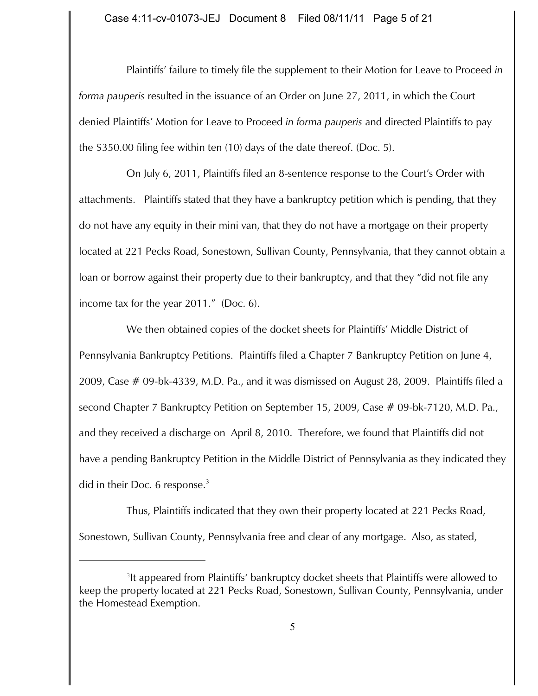Plaintiffs' failure to timely file the supplement to their Motion for Leave to Proceed *in forma pauperis* resulted in the issuance of an Order on June 27, 2011, in which the Court denied Plaintiffs' Motion for Leave to Proceed *in forma pauperis* and directed Plaintiffs to pay the \$350.00 filing fee within ten (10) days of the date thereof. (Doc. 5).

On July 6, 2011, Plaintiffs filed an 8-sentence response to the Court's Order with attachments. Plaintiffs stated that they have a bankruptcy petition which is pending, that they do not have any equity in their mini van, that they do not have a mortgage on their property located at 221 Pecks Road, Sonestown, Sullivan County, Pennsylvania, that they cannot obtain a loan or borrow against their property due to their bankruptcy, and that they "did not file any income tax for the year 2011." (Doc. 6).

We then obtained copies of the docket sheets for Plaintiffs' Middle District of Pennsylvania Bankruptcy Petitions. Plaintiffs filed a Chapter 7 Bankruptcy Petition on June 4, 2009, Case # 09-bk-4339, M.D. Pa., and it was dismissed on August 28, 2009. Plaintiffs filed a second Chapter 7 Bankruptcy Petition on September 15, 2009, Case # 09-bk-7120, M.D. Pa., and they received a discharge on April 8, 2010. Therefore, we found that Plaintiffs did not have a pending Bankruptcy Petition in the Middle District of Pennsylvania as they indicated they did in their Doc. 6 response. $3$ 

Thus, Plaintiffs indicated that they own their property located at 221 Pecks Road, Sonestown, Sullivan County, Pennsylvania free and clear of any mortgage. Also, as stated,

<sup>&</sup>lt;sup>3</sup>It appeared from Plaintiffs' bankruptcy docket sheets that Plaintiffs were allowed to keep the property located at 221 Pecks Road, Sonestown, Sullivan County, Pennsylvania, under the Homestead Exemption.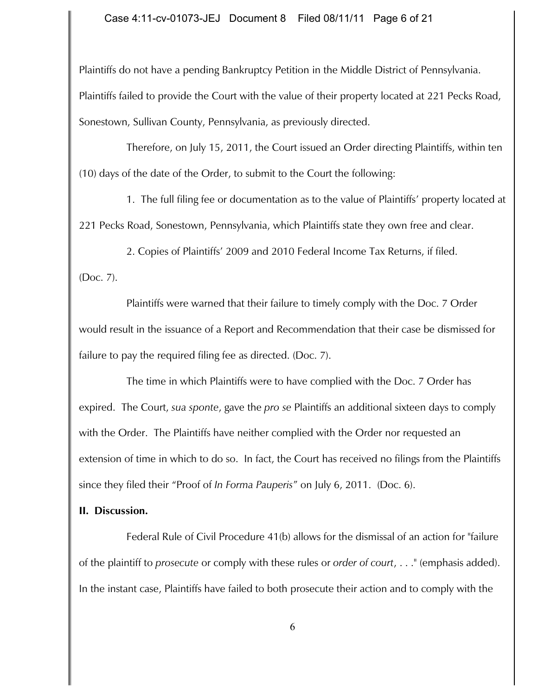Plaintiffs do not have a pending Bankruptcy Petition in the Middle District of Pennsylvania.

Plaintiffs failed to provide the Court with the value of their property located at 221 Pecks Road, Sonestown, Sullivan County, Pennsylvania, as previously directed.

Therefore, on July 15, 2011, the Court issued an Order directing Plaintiffs, within ten (10) days of the date of the Order, to submit to the Court the following:

1. The full filing fee or documentation as to the value of Plaintiffs' property located at 221 Pecks Road, Sonestown, Pennsylvania, which Plaintiffs state they own free and clear.

2. Copies of Plaintiffs' 2009 and 2010 Federal Income Tax Returns, if filed.

(Doc. 7).

Plaintiffs were warned that their failure to timely comply with the Doc. 7 Order would result in the issuance of a Report and Recommendation that their case be dismissed for failure to pay the required filing fee as directed. (Doc. 7).

The time in which Plaintiffs were to have complied with the Doc. 7 Order has expired. The Court, *sua sponte*, gave the *pro se* Plaintiffs an additional sixteen days to comply with the Order. The Plaintiffs have neither complied with the Order nor requested an extension of time in which to do so. In fact, the Court has received no filings from the Plaintiffs since they filed their "Proof of *In Forma Pauperis*" on July 6, 2011. (Doc. 6).

## **II. Discussion.**

Federal Rule of Civil Procedure 41(b) allows for the dismissal of an action for "failure of the plaintiff to *prosecute* or comply with these rules or *order of court*, . . ." (emphasis added). In the instant case, Plaintiffs have failed to both prosecute their action and to comply with the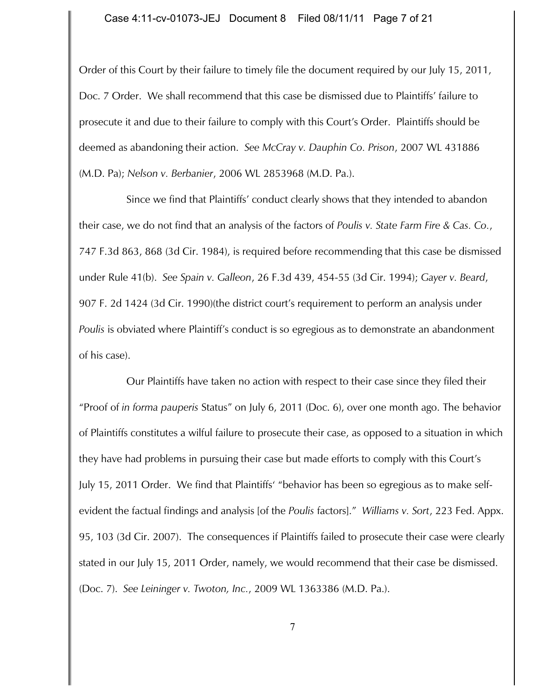Order of this Court by their failure to timely file the document required by our July 15, 2011, Doc. 7 Order. We shall recommend that this case be dismissed due to Plaintiffs' failure to prosecute it and due to their failure to comply with this Court's Order. Plaintiffs should be deemed as abandoning their action. *See McCray v. Dauphin Co. Prison*, 2007 WL 431886 (M.D. Pa); *Nelson v. Berbanier*, 2006 WL 2853968 (M.D. Pa.).

Since we find that Plaintiffs' conduct clearly shows that they intended to abandon their case, we do not find that an analysis of the factors of *Poulis v. State Farm Fire & Cas. Co.*, 747 F.3d 863, 868 (3d Cir. 1984), is required before recommending that this case be dismissed under Rule 41(b). *See Spain v. Galleon*, 26 F.3d 439, 454-55 (3d Cir. 1994); *Gayer v. Beard*, 907 F. 2d 1424 (3d Cir. 1990)(the district court's requirement to perform an analysis under *Poulis* is obviated where Plaintiff's conduct is so egregious as to demonstrate an abandonment of his case).

Our Plaintiffs have taken no action with respect to their case since they filed their "Proof of *in forma pauperis* Status" on July 6, 2011 (Doc. 6), over one month ago. The behavior of Plaintiffs constitutes a wilful failure to prosecute their case, as opposed to a situation in which they have had problems in pursuing their case but made efforts to comply with this Court's July 15, 2011 Order. We find that Plaintiffs' "behavior has been so egregious as to make selfevident the factual findings and analysis [of the *Poulis* factors]." *Williams v. Sort*, 223 Fed. Appx. 95, 103 (3d Cir. 2007). The consequences if Plaintiffs failed to prosecute their case were clearly stated in our July 15, 2011 Order, namely, we would recommend that their case be dismissed. (Doc. 7). *See Leininger v. Twoton, Inc.*, 2009 WL 1363386 (M.D. Pa.).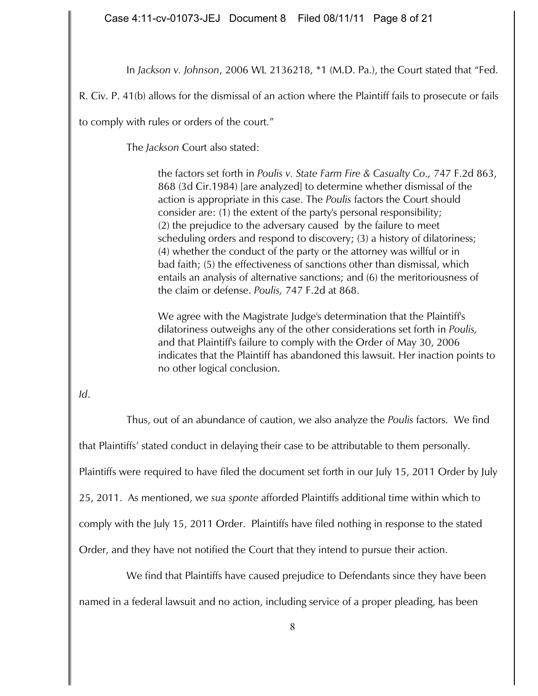In *Jackson v. Johnson*, 2006 WL 2136218, \*1 (M.D. Pa.), the Court stated that "Fed.

R. Civ. P. 41(b) allows for the dismissal of an action where the Plaintiff fails to prosecute or fails

to comply with rules or orders of the court."

The *Jackson* Court also stated:

the factors set forth in *Poulis v. State Farm Fire & Casualty Co.,* 747 F.2d 863, 868 (3d Cir.1984) [are analyzed] to determine whether dismissal of the action is appropriate in this case. The *Poulis* factors the Court should consider are: (1) the extent of the party's personal responsibility; (2) the prejudice to the adversary caused by the failure to meet scheduling orders and respond to discovery; (3) a history of dilatoriness; (4) whether the conduct of the party or the attorney was willful or in bad faith; (5) the effectiveness of sanctions other than dismissal, which entails an analysis of alternative sanctions; and (6) the meritoriousness of the claim or defense. *Poulis,* 747 F.2d at 868.

We agree with the Magistrate Judge's determination that the Plaintiff's dilatoriness outweighs any of the other considerations set forth in *Poulis,* and that Plaintiff's failure to comply with the Order of May 30, 2006 indicates that the Plaintiff has abandoned this lawsuit. Her inaction points to no other logical conclusion.

*Id*.

Thus, out of an abundance of caution, we also analyze the *Poulis* factors. We find that Plaintiffs' stated conduct in delaying their case to be attributable to them personally. Plaintiffs were required to have filed the document set forth in our July 15, 2011 Order by July 25, 2011. As mentioned, we *sua sponte* afforded Plaintiffs additional time within which to comply with the July 15, 2011 Order. Plaintiffs have filed nothing in response to the stated Order, and they have not notified the Court that they intend to pursue their action.

We find that Plaintiffs have caused prejudice to Defendants since they have been named in a federal lawsuit and no action, including service of a proper pleading, has been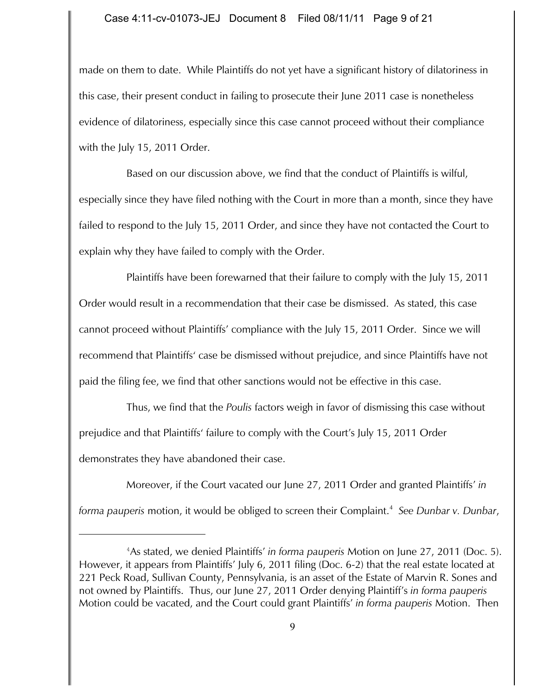made on them to date. While Plaintiffs do not yet have a significant history of dilatoriness in this case, their present conduct in failing to prosecute their June 2011 case is nonetheless evidence of dilatoriness, especially since this case cannot proceed without their compliance with the July 15, 2011 Order.

Based on our discussion above, we find that the conduct of Plaintiffs is wilful, especially since they have filed nothing with the Court in more than a month, since they have failed to respond to the July 15, 2011 Order, and since they have not contacted the Court to explain why they have failed to comply with the Order.

Plaintiffs have been forewarned that their failure to comply with the July 15, 2011 Order would result in a recommendation that their case be dismissed. As stated, this case cannot proceed without Plaintiffs' compliance with the July 15, 2011 Order. Since we will recommend that Plaintiffs' case be dismissed without prejudice, and since Plaintiffs have not paid the filing fee, we find that other sanctions would not be effective in this case.

Thus, we find that the *Poulis* factors weigh in favor of dismissing this case without prejudice and that Plaintiffs' failure to comply with the Court's July 15, 2011 Order demonstrates they have abandoned their case.

Moreover, if the Court vacated our June 27, 2011 Order and granted Plaintiffs' *in forma pauperis* motion, it would be obliged to screen their Complaint. *See Dunbar v. Dunbar*, <sup>4</sup>

As stated, we denied Plaintiffs' *in forma pauperis* Motion on June 27, 2011 (Doc. 5). <sup>4</sup> However, it appears from Plaintiffs' July 6, 2011 filing (Doc. 6-2) that the real estate located at 221 Peck Road, Sullivan County, Pennsylvania, is an asset of the Estate of Marvin R. Sones and not owned by Plaintiffs. Thus, our June 27, 2011 Order denying Plaintiff's *in forma pauperis* Motion could be vacated, and the Court could grant Plaintiffs' *in forma pauperis* Motion. Then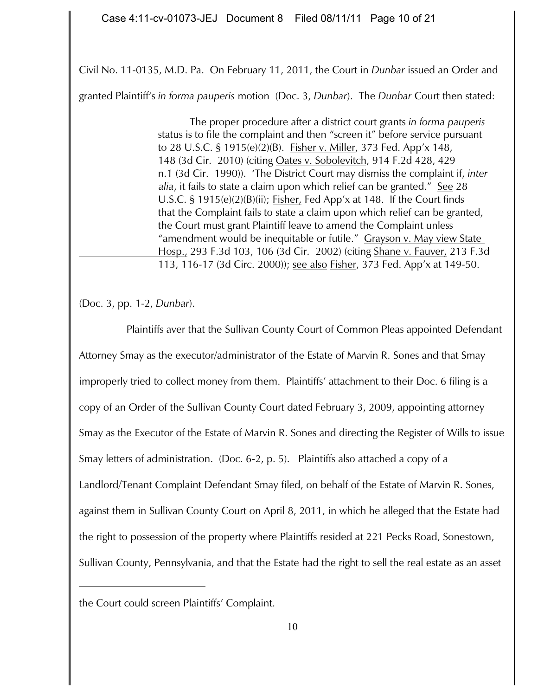Civil No. 11-0135, M.D. Pa. On February 11, 2011, the Court in *Dunbar* issued an Order and

granted Plaintiff's *in forma pauperis* motion (Doc. 3, *Dunbar*). The *Dunbar* Court then stated:

The proper procedure after a district court grants *in forma pauperis* status is to file the complaint and then "screen it" before service pursuant to 28 U.S.C. § 1915(e)(2)(B). Fisher v. Miller, 373 Fed. App'x 148, 148 (3d Cir. 2010) (citing Oates v. Sobolevitch, 914 F.2d 428, 429 n.1 (3d Cir. 1990)). 'The District Court may dismiss the complaint if, *inter alia*, it fails to state a claim upon which relief can be granted." See 28 U.S.C. § 1915(e)(2)(B)(ii); Fisher, Fed App'x at 148. If the Court finds that the Complaint fails to state a claim upon which relief can be granted, the Court must grant Plaintiff leave to amend the Complaint unless "amendment would be inequitable or futile." Grayson v. May view State Hosp., 293 F.3d 103, 106 (3d Cir. 2002) (citing Shane v. Fauver, 213 F.3d 113, 116-17 (3d Circ. 2000)); see also Fisher, 373 Fed. App'x at 149-50.

(Doc. 3, pp. 1-2, *Dunbar*).

Plaintiffs aver that the Sullivan County Court of Common Pleas appointed Defendant Attorney Smay as the executor/administrator of the Estate of Marvin R. Sones and that Smay improperly tried to collect money from them. Plaintiffs' attachment to their Doc. 6 filing is a copy of an Order of the Sullivan County Court dated February 3, 2009, appointing attorney Smay as the Executor of the Estate of Marvin R. Sones and directing the Register of Wills to issue Smay letters of administration. (Doc. 6-2, p. 5). Plaintiffs also attached a copy of a Landlord/Tenant Complaint Defendant Smay filed, on behalf of the Estate of Marvin R. Sones, against them in Sullivan County Court on April 8, 2011, in which he alleged that the Estate had the right to possession of the property where Plaintiffs resided at 221 Pecks Road, Sonestown, Sullivan County, Pennsylvania, and that the Estate had the right to sell the real estate as an asset

the Court could screen Plaintiffs' Complaint.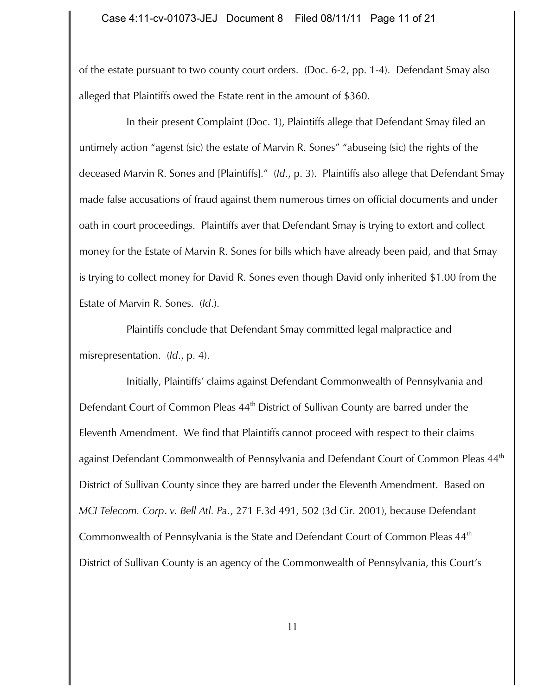of the estate pursuant to two county court orders. (Doc. 6-2, pp. 1-4). Defendant Smay also alleged that Plaintiffs owed the Estate rent in the amount of \$360.

In their present Complaint (Doc. 1), Plaintiffs allege that Defendant Smay filed an untimely action "agenst (sic) the estate of Marvin R. Sones" "abuseing (sic) the rights of the deceased Marvin R. Sones and [Plaintiffs]." (*Id*., p. 3). Plaintiffs also allege that Defendant Smay made false accusations of fraud against them numerous times on official documents and under oath in court proceedings. Plaintiffs aver that Defendant Smay is trying to extort and collect money for the Estate of Marvin R. Sones for bills which have already been paid, and that Smay is trying to collect money for David R. Sones even though David only inherited \$1.00 from the Estate of Marvin R. Sones. (*Id*.).

Plaintiffs conclude that Defendant Smay committed legal malpractice and misrepresentation. (*Id*., p. 4).

Initially, Plaintiffs' claims against Defendant Commonwealth of Pennsylvania and Defendant Court of Common Pleas 44<sup>th</sup> District of Sullivan County are barred under the Eleventh Amendment. We find that Plaintiffs cannot proceed with respect to their claims against Defendant Commonwealth of Pennsylvania and Defendant Court of Common Pleas 44<sup>th</sup> District of Sullivan County since they are barred under the Eleventh Amendment. Based on *MCI Telecom. Corp*. *v. Bell Atl. Pa.*, 271 F.3d 491, 502 (3d Cir. 2001), because Defendant Commonwealth of Pennsylvania is the State and Defendant Court of Common Pleas 44<sup>th</sup> District of Sullivan County is an agency of the Commonwealth of Pennsylvania, this Court's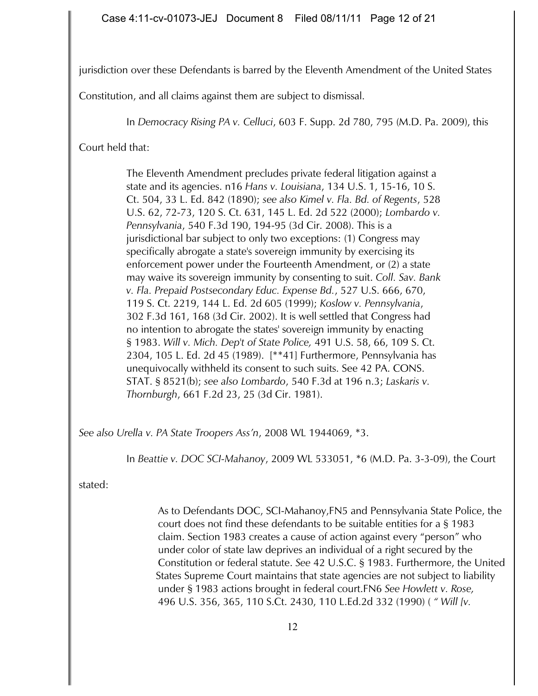jurisdiction over these Defendants is barred by the Eleventh Amendment of the United States

Constitution, and all claims against them are subject to dismissal.

In *Democracy Rising PA v. Celluci*, 603 F. Supp. 2d 780, 795 (M.D. Pa. 2009), this

Court held that:

The Eleventh Amendment precludes private federal litigation against a state and its agencies. n16 *Hans v. Louisiana*, 134 U.S. 1, 15-16, 10 S. Ct. 504, 33 L. Ed. 842 (1890); *see also Kimel v. Fla. Bd. of Regents*, 528 U.S. 62, 72-73, 120 S. Ct. 631, 145 L. Ed. 2d 522 (2000); *Lombardo v. Pennsylvania*, 540 F.3d 190, 194-95 (3d Cir. 2008). This is a jurisdictional bar subject to only two exceptions: (1) Congress may specifically abrogate a state's sovereign immunity by exercising its enforcement power under the Fourteenth Amendment, or (2) a state may waive its sovereign immunity by consenting to suit. *Coll. Sav. Bank v. Fla. Prepaid Postsecondary Educ. Expense Bd.*, 527 U.S. 666, 670, 119 S. Ct. 2219, 144 L. Ed. 2d 605 (1999); *Koslow v. Pennsylvania*, 302 F.3d 161, 168 (3d Cir. 2002). It is well settled that Congress had no intention to abrogate the states' sovereign immunity by enacting § 1983. *Will v. Mich. Dep't of State Police,* 491 U.S. 58, 66, 109 S. Ct. 2304, 105 L. Ed. 2d 45 (1989). [\*\*41] Furthermore, Pennsylvania has unequivocally withheld its consent to such suits. See 42 PA. CONS. STAT. § 8521(b); *see also Lombardo*, 540 F.3d at 196 n.3; *Laskaris v. Thornburgh*, 661 F.2d 23, 25 (3d Cir. 1981).

*See also Urella v. PA State Troopers Ass'n*, 2008 WL 1944069, \*3.

In *Beattie v. DOC SCI-Mahanoy*, 2009 WL 533051, \*6 (M.D. Pa. 3-3-09), the Court

stated:

As to Defendants DOC, SCI-Mahanoy,FN5 and Pennsylvania State Police, the court does not find these defendants to be suitable entities for a § 1983 claim. Section 1983 creates a cause of action against every "person" who under color of state law deprives an individual of a right secured by the Constitution or federal statute. *See* 42 U.S.C. § 1983. Furthermore, the United States Supreme Court maintains that state agencies are not subject to liability under § 1983 actions brought in federal court.FN6 *See Howlett v. Rose,* 496 U.S. 356, 365, 110 S.Ct. 2430, 110 L.Ed.2d 332 (1990) ( *" Will [v.*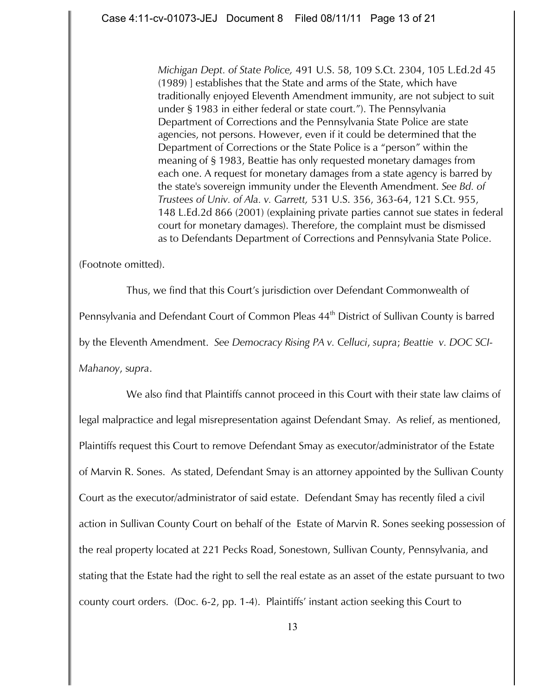*Michigan Dept. of State Police,* 491 U.S. 58, 109 S.Ct. 2304, 105 L.Ed.2d 45 (1989) ] establishes that the State and arms of the State, which have traditionally enjoyed Eleventh Amendment immunity, are not subject to suit under § 1983 in either federal or state court."). The Pennsylvania Department of Corrections and the Pennsylvania State Police are state agencies, not persons. However, even if it could be determined that the Department of Corrections or the State Police is a "person" within the meaning of § 1983, Beattie has only requested monetary damages from each one. A request for monetary damages from a state agency is barred by the state's sovereign immunity under the Eleventh Amendment. *See Bd. of Trustees of Univ. of Ala. v. Garrett,* 531 U.S. 356, 363-64, 121 S.Ct. 955, 148 L.Ed.2d 866 (2001) (explaining private parties cannot sue states in federal court for monetary damages). Therefore, the complaint must be dismissed as to Defendants Department of Corrections and Pennsylvania State Police.

(Footnote omitted).

 Thus, we find that this Court's jurisdiction over Defendant Commonwealth of Pennsylvania and Defendant Court of Common Pleas 44<sup>th</sup> District of Sullivan County is barred by the Eleventh Amendment. *See Democracy Rising PA v. Celluci*, *supra*; *Beattie v. DOC SCI-Mahanoy*, s*upra*.

We also find that Plaintiffs cannot proceed in this Court with their state law claims of legal malpractice and legal misrepresentation against Defendant Smay. As relief, as mentioned, Plaintiffs request this Court to remove Defendant Smay as executor/administrator of the Estate of Marvin R. Sones. As stated, Defendant Smay is an attorney appointed by the Sullivan County Court as the executor/administrator of said estate. Defendant Smay has recently filed a civil action in Sullivan County Court on behalf of the Estate of Marvin R. Sones seeking possession of the real property located at 221 Pecks Road, Sonestown, Sullivan County, Pennsylvania, and stating that the Estate had the right to sell the real estate as an asset of the estate pursuant to two county court orders. (Doc. 6-2, pp. 1-4). Plaintiffs' instant action seeking this Court to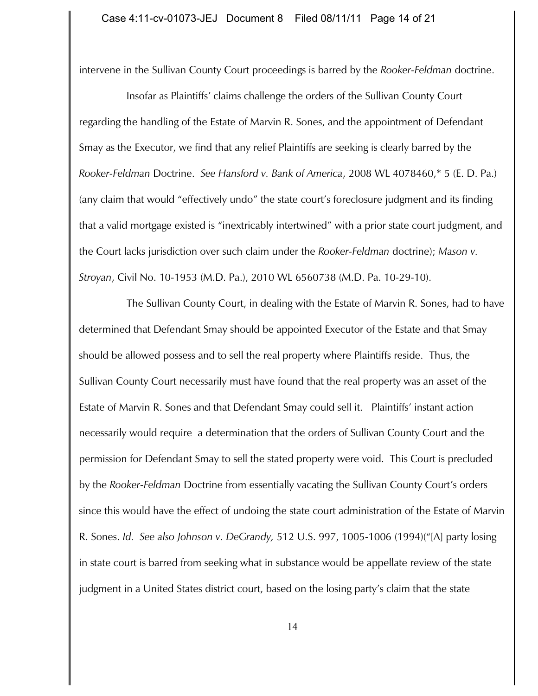intervene in the Sullivan County Court proceedings is barred by the *Rooker-Feldman* doctrine.

Insofar as Plaintiffs' claims challenge the orders of the Sullivan County Court regarding the handling of the Estate of Marvin R. Sones, and the appointment of Defendant Smay as the Executor, we find that any relief Plaintiffs are seeking is clearly barred by the *Rooker-Feldman* Doctrine. *See Hansford v. Bank of America*, 2008 WL 4078460,\* 5 (E. D. Pa.) (any claim that would "effectively undo" the state court's foreclosure judgment and its finding that a valid mortgage existed is "inextricably intertwined" with a prior state court judgment, and the Court lacks jurisdiction over such claim under the *Rooker-Feldman* doctrine); *Mason v. Stroyan*, Civil No. 10-1953 (M.D. Pa.), 2010 WL 6560738 (M.D. Pa. 10-29-10).

The Sullivan County Court, in dealing with the Estate of Marvin R. Sones, had to have determined that Defendant Smay should be appointed Executor of the Estate and that Smay should be allowed possess and to sell the real property where Plaintiffs reside. Thus, the Sullivan County Court necessarily must have found that the real property was an asset of the Estate of Marvin R. Sones and that Defendant Smay could sell it. Plaintiffs' instant action necessarily would require a determination that the orders of Sullivan County Court and the permission for Defendant Smay to sell the stated property were void. This Court is precluded by the *Rooker-Feldman* Doctrine from essentially vacating the Sullivan County Court's orders since this would have the effect of undoing the state court administration of the Estate of Marvin R. Sones. *Id. See also Johnson v. DeGrandy,* 512 U.S. 997, 1005-1006 (1994)("[A] party losing in state court is barred from seeking what in substance would be appellate review of the state judgment in a United States district court, based on the losing party's claim that the state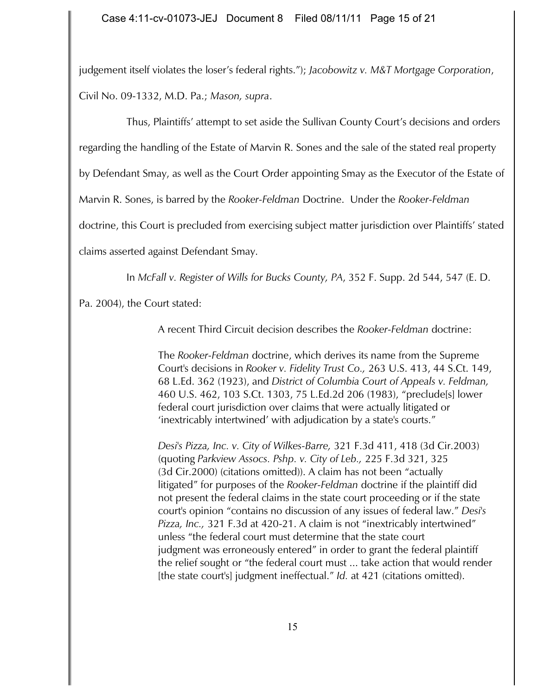judgement itself violates the loser's federal rights."); *Jacobowitz v. M&T Mortgage Corporation*, Civil No. 09-1332, M.D. Pa.; *Mason, supra*.

Thus, Plaintiffs' attempt to set aside the Sullivan County Court's decisions and orders

regarding the handling of the Estate of Marvin R. Sones and the sale of the stated real property

by Defendant Smay, as well as the Court Order appointing Smay as the Executor of the Estate of

Marvin R. Sones, is barred by the *Rooker-Feldman* Doctrine. Under the *Rooker-Feldman*

doctrine, this Court is precluded from exercising subject matter jurisdiction over Plaintiffs' stated

claims asserted against Defendant Smay.

In *McFall v. Register of Wills for Bucks County, PA*, 352 F. Supp. 2d 544, 547 (E. D.

Pa. 2004), the Court stated:

A recent Third Circuit decision describes the *Rooker-Feldman* doctrine:

The *Rooker-Feldman* doctrine, which derives its name from the Supreme Court's decisions in *Rooker v. Fidelity Trust Co.,* 263 U.S. 413, 44 S.Ct. 149, 68 L.Ed. 362 (1923), and *District of Columbia Court of Appeals v. Feldman,* 460 U.S. 462, 103 S.Ct. 1303, 75 L.Ed.2d 206 (1983), "preclude[s] lower federal court jurisdiction over claims that were actually litigated or 'inextricably intertwined' with adjudication by a state's courts."

*Desi's Pizza, Inc. v. City of Wilkes-Barre,* 321 F.3d 411, 418 (3d Cir.2003) (quoting *Parkview Assocs. Pshp. v. City of Leb.,* 225 F.3d 321, 325 (3d Cir.2000) (citations omitted)). A claim has not been "actually litigated" for purposes of the *Rooker-Feldman* doctrine if the plaintiff did not present the federal claims in the state court proceeding or if the state court's opinion "contains no discussion of any issues of federal law." *Desi's Pizza, Inc.,* 321 F.3d at 420-21. A claim is not "inextricably intertwined" unless "the federal court must determine that the state court judgment was erroneously entered" in order to grant the federal plaintiff the relief sought or "the federal court must ... take action that would render [the state court's] judgment ineffectual." *Id.* at 421 (citations omitted).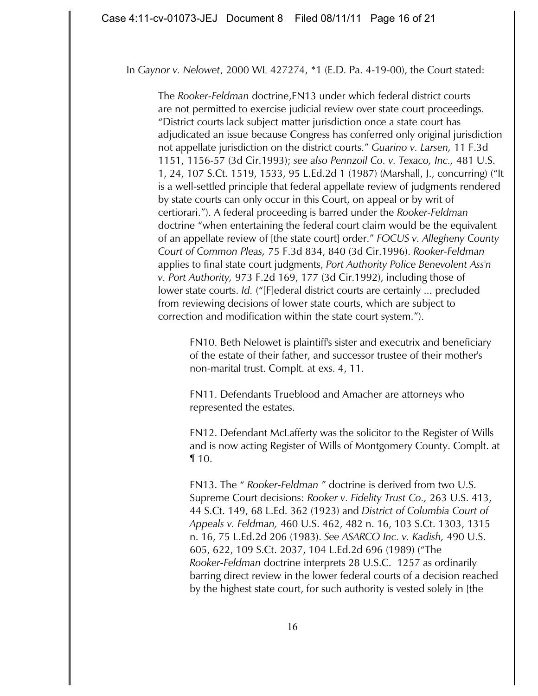### In *Gaynor v. Nelowet*, 2000 WL 427274, \*1 (E.D. Pa. 4-19-00), the Court stated:

The *Rooker-Feldman* doctrine,FN13 under which federal district courts are not permitted to exercise judicial review over state court proceedings. "District courts lack subject matter jurisdiction once a state court has adjudicated an issue because Congress has conferred only original jurisdiction not appellate jurisdiction on the district courts." *Guarino v. Larsen,* 11 F.3d 1151, 1156-57 (3d Cir.1993); *see also Pennzoil Co. v. Texaco, Inc.,* 481 U.S. 1, 24, 107 S.Ct. 1519, 1533, 95 L.Ed.2d 1 (1987) (Marshall, J., concurring) ("It is a well-settled principle that federal appellate review of judgments rendered by state courts can only occur in this Court, on appeal or by writ of certiorari."). A federal proceeding is barred under the *Rooker-Feldman* doctrine "when entertaining the federal court claim would be the equivalent of an appellate review of [the state court] order." *FOCUS v. Allegheny County Court of Common Pleas,* 75 F.3d 834, 840 (3d Cir.1996). *Rooker-Feldman* applies to final state court judgments, *Port Authority Police Benevolent Ass'n v. Port Authority,* 973 F.2d 169, 177 (3d Cir.1992), including those of lower state courts. *Id.* ("[F]ederal district courts are certainly ... precluded from reviewing decisions of lower state courts, which are subject to correction and modification within the state court system.").

FN10. Beth Nelowet is plaintiff's sister and executrix and beneficiary of the estate of their father, and successor trustee of their mother's non-marital trust. Complt. at exs. 4, 11.

FN11. Defendants Trueblood and Amacher are attorneys who represented the estates.

FN12. Defendant McLafferty was the solicitor to the Register of Wills and is now acting Register of Wills of Montgomery County. Complt. at ¶ 10.

FN13. The " *Rooker-Feldman* " doctrine is derived from two U.S. Supreme Court decisions: *Rooker v. Fidelity Trust Co.,* 263 U.S. 413, 44 S.Ct. 149, 68 L.Ed. 362 (1923) and *District of Columbia Court of Appeals v. Feldman,* 460 U.S. 462, 482 n. 16, 103 S.Ct. 1303, 1315 n. 16, 75 L.Ed.2d 206 (1983). *See ASARCO Inc. v. Kadish,* 490 U.S. 605, 622, 109 S.Ct. 2037, 104 L.Ed.2d 696 (1989) ("The *Rooker-Feldman* doctrine interprets 28 U.S.C. 1257 as ordinarily barring direct review in the lower federal courts of a decision reached by the highest state court, for such authority is vested solely in [the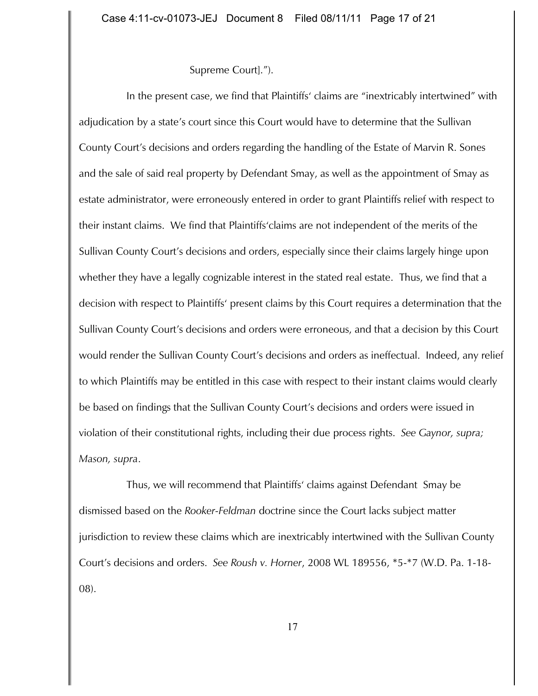## Supreme Court].").

In the present case, we find that Plaintiffs' claims are "inextricably intertwined" with adjudication by a state's court since this Court would have to determine that the Sullivan County Court's decisions and orders regarding the handling of the Estate of Marvin R. Sones and the sale of said real property by Defendant Smay, as well as the appointment of Smay as estate administrator, were erroneously entered in order to grant Plaintiffs relief with respect to their instant claims. We find that Plaintiffs'claims are not independent of the merits of the Sullivan County Court's decisions and orders, especially since their claims largely hinge upon whether they have a legally cognizable interest in the stated real estate. Thus, we find that a decision with respect to Plaintiffs' present claims by this Court requires a determination that the Sullivan County Court's decisions and orders were erroneous, and that a decision by this Court would render the Sullivan County Court's decisions and orders as ineffectual. Indeed, any relief to which Plaintiffs may be entitled in this case with respect to their instant claims would clearly be based on findings that the Sullivan County Court's decisions and orders were issued in violation of their constitutional rights, including their due process rights. *See Gaynor, supra; Mason, supra*.

Thus, we will recommend that Plaintiffs' claims against Defendant Smay be dismissed based on the *Rooker-Feldman* doctrine since the Court lacks subject matter jurisdiction to review these claims which are inextricably intertwined with the Sullivan County Court's decisions and orders. *See Roush v. Horner*, 2008 WL 189556, \*5-\*7 (W.D. Pa. 1-18- 08).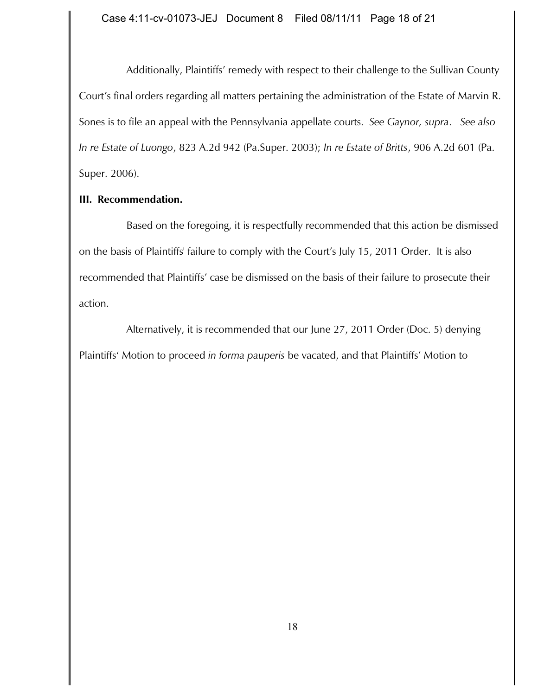Additionally, Plaintiffs' remedy with respect to their challenge to the Sullivan County Court's final orders regarding all matters pertaining the administration of the Estate of Marvin R. Sones is to file an appeal with the Pennsylvania appellate courts. *See Gaynor, supra*. *See also In re Estate of Luongo*, 823 A.2d 942 (Pa.Super. 2003); *In re Estate of Britts*, 906 A.2d 601 (Pa. Super. 2006).

# **III. Recommendation.**

Based on the foregoing, it is respectfully recommended that this action be dismissed on the basis of Plaintiffs' failure to comply with the Court's July 15, 2011 Order. It is also recommended that Plaintiffs' case be dismissed on the basis of their failure to prosecute their action.

Alternatively, it is recommended that our June 27, 2011 Order (Doc. 5) denying Plaintiffs' Motion to proceed *in forma pauperis* be vacated, and that Plaintiffs' Motion to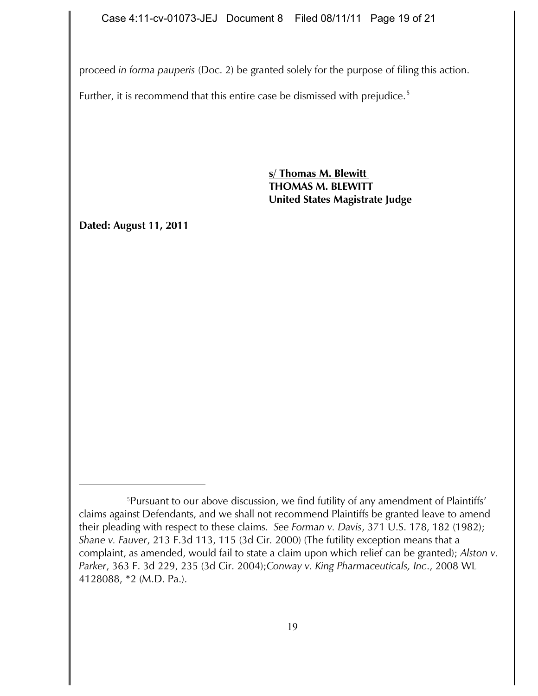proceed *in forma pauperis* (Doc. 2) be granted solely for the purpose of filing this action.

Further, it is recommend that this entire case be dismissed with prejudice.<sup>5</sup>

**s/ Thomas M. Blewitt THOMAS M. BLEWITT United States Magistrate Judge**

**Dated: August 11, 2011** 

<sup>&</sup>lt;sup>5</sup>Pursuant to our above discussion, we find futility of any amendment of Plaintiffs' claims against Defendants, and we shall not recommend Plaintiffs be granted leave to amend their pleading with respect to these claims. *See Forman v. Davis*, 371 U.S. 178, 182 (1982); *Shane v. Fauver*, 213 F.3d 113, 115 (3d Cir. 2000) (The futility exception means that a complaint, as amended, would fail to state a claim upon which relief can be granted); *Alston v. Parker*, 363 F. 3d 229, 235 (3d Cir. 2004);*Conway v. King Pharmaceuticals, Inc*., 2008 WL 4128088, \*2 (M.D. Pa.).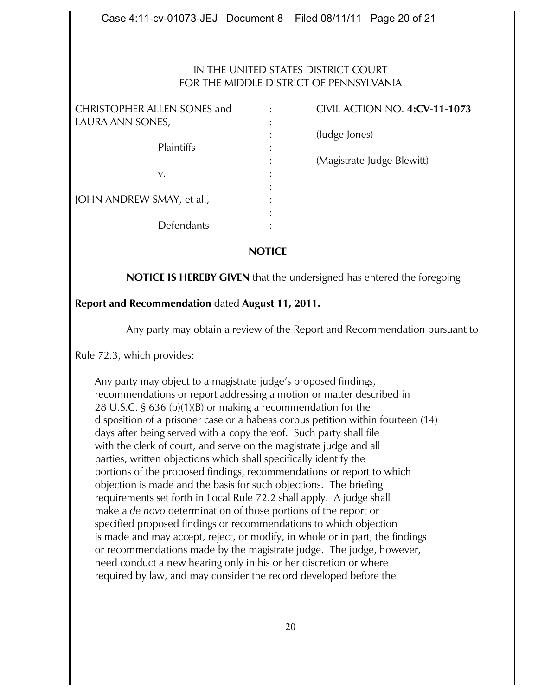## IN THE UNITED STATES DISTRICT COURT FOR THE MIDDLE DISTRICT OF PENNSYLVANIA

| <b>CHRISTOPHER ALLEN SONES and</b> |                | <b>CIVIL ACTION NO. 4:CV-11-1073</b> |
|------------------------------------|----------------|--------------------------------------|
| LAURA ANN SONES,                   |                |                                      |
| Plaintiffs                         |                | (Judge Jones)                        |
|                                    | ٠<br>$\bullet$ |                                      |
|                                    |                | (Magistrate Judge Blewitt)           |
| v.                                 | ٠              |                                      |
| JOHN ANDREW SMAY, et al.,          | ٠              |                                      |
|                                    | ٠              |                                      |
|                                    |                |                                      |
| Defendants                         |                |                                      |

# **NOTICE**

**NOTICE IS HEREBY GIVEN** that the undersigned has entered the foregoing

# **Report and Recommendation** dated **August 11, 2011.**

Any party may obtain a review of the Report and Recommendation pursuant to

Rule 72.3, which provides:

Any party may object to a magistrate judge's proposed findings, recommendations or report addressing a motion or matter described in 28 U.S.C. § 636 (b)(1)(B) or making a recommendation for the disposition of a prisoner case or a habeas corpus petition within fourteen (14) days after being served with a copy thereof. Such party shall file with the clerk of court, and serve on the magistrate judge and all parties, written objections which shall specifically identify the portions of the proposed findings, recommendations or report to which objection is made and the basis for such objections. The briefing requirements set forth in Local Rule 72.2 shall apply. A judge shall make a *de novo* determination of those portions of the report or specified proposed findings or recommendations to which objection is made and may accept, reject, or modify, in whole or in part, the findings or recommendations made by the magistrate judge. The judge, however, need conduct a new hearing only in his or her discretion or where required by law, and may consider the record developed before the